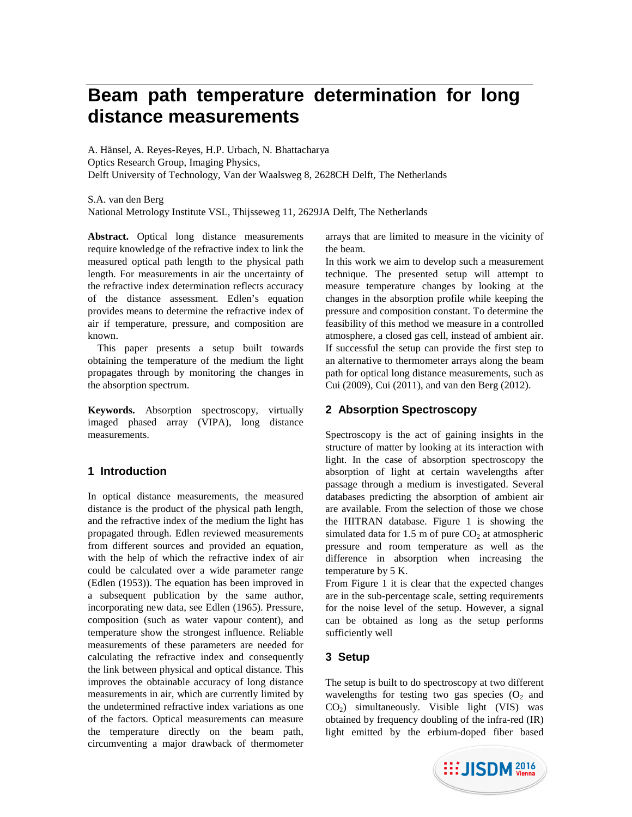# **Beam path temperature determination for long distance measurements**

A. Hänsel, A. Reyes-Reyes, H.P. Urbach, N. Bhattacharya Optics Research Group, Imaging Physics, Delft University of Technology, Van der Waalsweg 8, 2628CH Delft, The Netherlands

S.A. van den Berg

National Metrology Institute VSL, Thijsseweg 11, 2629JA Delft, The Netherlands

**Abstract.** Optical long distance measurements require knowledge of the refractive index to link the measured optical path length to the physical path length. For measurements in air the uncertainty of the refractive index determination reflects accuracy of the distance assessment. Edlen's equation provides means to determine the refractive index of air if temperature, pressure, and composition are known.

This paper presents a setup built towards obtaining the temperature of the medium the light propagates through by monitoring the changes in the absorption spectrum.

**Keywords.** Absorption spectroscopy, virtually imaged phased array (VIPA), long distance measurements.

# **1 Introduction**

In optical distance measurements, the measured distance is the product of the physical path length, and the refractive index of the medium the light has propagated through. Edlen reviewed measurements from different sources and provided an equation, with the help of which the refractive index of air could be calculated over a wide parameter range (Edlen (1953)). The equation has been improved in a subsequent publication by the same author, incorporating new data, see Edlen (1965). Pressure, composition (such as water vapour content), and temperature show the strongest influence. Reliable measurements of these parameters are needed for calculating the refractive index and consequently the link between physical and optical distance. This improves the obtainable accuracy of long distance measurements in air, which are currently limited by the undetermined refractive index variations as one of the factors. Optical measurements can measure the temperature directly on the beam path, circumventing a major drawback of thermometer

arrays that are limited to measure in the vicinity of the beam.

In this work we aim to develop such a measurement technique. The presented setup will attempt to measure temperature changes by looking at the changes in the absorption profile while keeping the pressure and composition constant. To determine the feasibility of this method we measure in a controlled atmosphere, a closed gas cell, instead of ambient air. If successful the setup can provide the first step to an alternative to thermometer arrays along the beam path for optical long distance measurements, such as Cui (2009), Cui (2011), and van den Berg (2012).

# **2 Absorption Spectroscopy**

Spectroscopy is the act of gaining insights in the structure of matter by looking at its interaction with light. In the case of absorption spectroscopy the absorption of light at certain wavelengths after passage through a medium is investigated. Several databases predicting the absorption of ambient air are available. From the selection of those we chose the HITRAN database. Figure 1 is showing the simulated data for 1.5 m of pure  $CO<sub>2</sub>$  at atmospheric pressure and room temperature as well as the difference in absorption when increasing the temperature by 5 K.

From Figure 1 it is clear that the expected changes are in the sub-percentage scale, setting requirements for the noise level of the setup. However, a signal can be obtained as long as the setup performs sufficiently well

# **3 Setup**

The setup is built to do spectroscopy at two different wavelengths for testing two gas species  $(O<sub>2</sub>$  and  $CO<sub>2</sub>$ ) simultaneously. Visible light (VIS) was obtained by frequency doubling of the infra-red (IR) light emitted by the erbium-doped fiber based

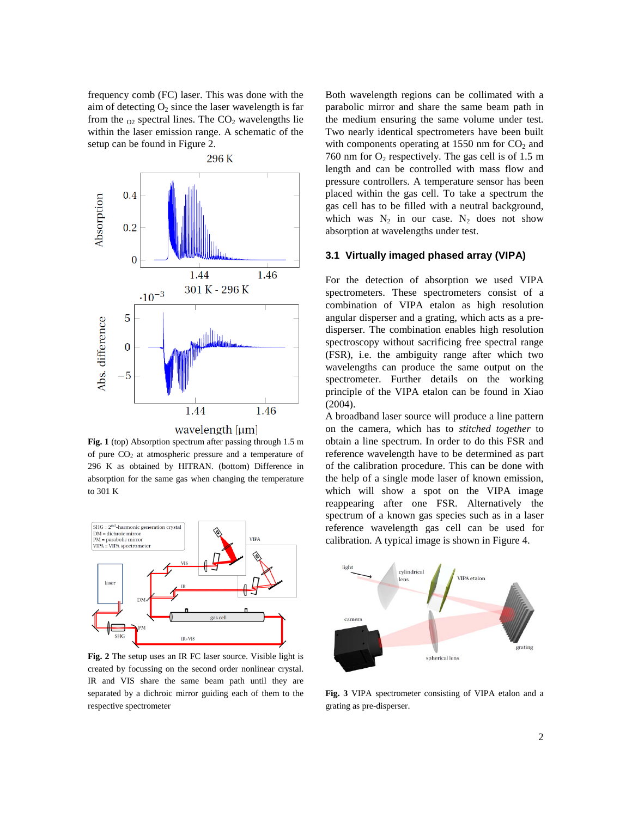frequency comb (FC) laser. This was done with the aim of detecting  $O_2$  since the laser wavelength is far from the  $_{02}$  spectral lines. The  $CO<sub>2</sub>$  wavelengths lie within the laser emission range. A schematic of the setup can be found in Figure 2.



**Fig. 1** (top) Absorption spectrum after passing through 1.5 m of pure CO2 at atmospheric pressure and a temperature of 296 K as obtained by HITRAN. (bottom) Difference in absorption for the same gas when changing the temperature to 301 K



**Fig. 2** The setup uses an IR FC laser source. Visible light is created by focussing on the second order nonlinear crystal. IR and VIS share the same beam path until they are separated by a dichroic mirror guiding each of them to the respective spectrometer

Both wavelength regions can be collimated with a parabolic mirror and share the same beam path in the medium ensuring the same volume under test. Two nearly identical spectrometers have been built with components operating at 1550 nm for  $CO<sub>2</sub>$  and 760 nm for  $O_2$  respectively. The gas cell is of 1.5 m length and can be controlled with mass flow and pressure controllers. A temperature sensor has been placed within the gas cell. To take a spectrum the gas cell has to be filled with a neutral background, which was  $N_2$  in our case.  $N_2$  does not show absorption at wavelengths under test.

#### **3.1 Virtually imaged phased array (VIPA)**

For the detection of absorption we used VIPA spectrometers. These spectrometers consist of a combination of VIPA etalon as high resolution angular disperser and a grating, which acts as a predisperser. The combination enables high resolution spectroscopy without sacrificing free spectral range (FSR), i.e. the ambiguity range after which two wavelengths can produce the same output on the spectrometer. Further details on the working principle of the VIPA etalon can be found in Xiao (2004).

A broadband laser source will produce a line pattern on the camera, which has to *stitched together* to obtain a line spectrum. In order to do this FSR and reference wavelength have to be determined as part of the calibration procedure. This can be done with the help of a single mode laser of known emission, which will show a spot on the VIPA image reappearing after one FSR. Alternatively the spectrum of a known gas species such as in a laser reference wavelength gas cell can be used for calibration. A typical image is shown in Figure 4.



**Fig. 3** VIPA spectrometer consisting of VIPA etalon and a grating as pre-disperser.